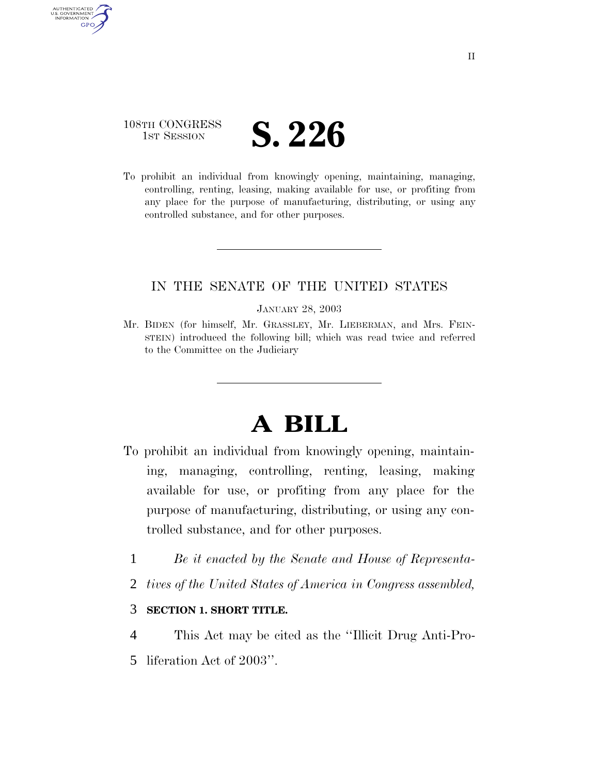## 108TH CONGRESS **IST SESSION S. 226**

AUTHENTICATED<br>U.S. GOVERNMENT<br>INFORMATION **GPO** 

> To prohibit an individual from knowingly opening, maintaining, managing, controlling, renting, leasing, making available for use, or profiting from any place for the purpose of manufacturing, distributing, or using any controlled substance, and for other purposes.

### IN THE SENATE OF THE UNITED STATES

#### JANUARY 28, 2003

Mr. BIDEN (for himself, Mr. GRASSLEY, Mr. LIEBERMAN, and Mrs. FEIN-STEIN) introduced the following bill; which was read twice and referred to the Committee on the Judiciary

# **A BILL**

- To prohibit an individual from knowingly opening, maintaining, managing, controlling, renting, leasing, making available for use, or profiting from any place for the purpose of manufacturing, distributing, or using any controlled substance, and for other purposes.
	- 1 *Be it enacted by the Senate and House of Representa-*
	- 2 *tives of the United States of America in Congress assembled,*

### 3 **SECTION 1. SHORT TITLE.**

- 4 This Act may be cited as the ''Illicit Drug Anti-Pro-
- 5 liferation Act of 2003''.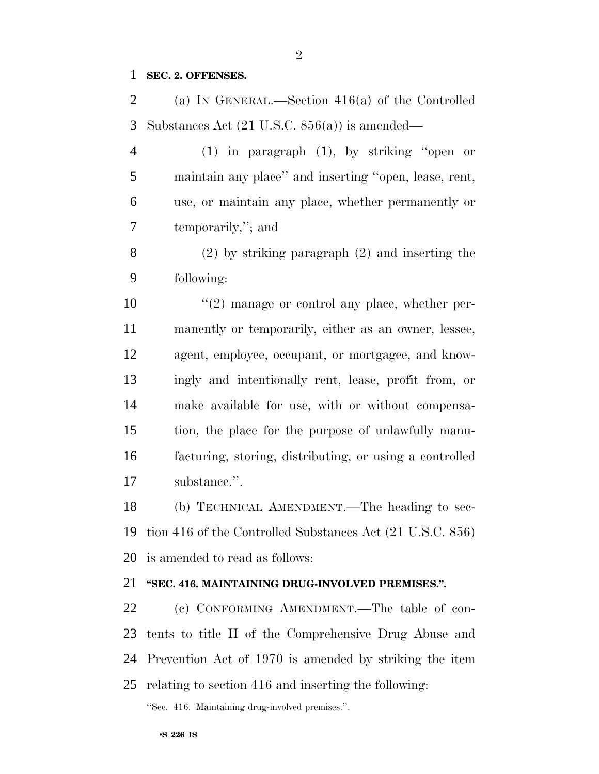#### **SEC. 2. OFFENSES.**

 (a) IN GENERAL.—Section 416(a) of the Controlled Substances Act (21 U.S.C. 856(a)) is amended—

 (1) in paragraph (1), by striking ''open or maintain any place'' and inserting ''open, lease, rent, use, or maintain any place, whether permanently or temporarily,''; and

 (2) by striking paragraph (2) and inserting the following:

 $\frac{10}{2}$  manage or control any place, whether per- manently or temporarily, either as an owner, lessee, agent, employee, occupant, or mortgagee, and know- ingly and intentionally rent, lease, profit from, or make available for use, with or without compensa- tion, the place for the purpose of unlawfully manu- facturing, storing, distributing, or using a controlled substance.''.

 (b) TECHNICAL AMENDMENT.—The heading to sec- tion 416 of the Controlled Substances Act (21 U.S.C. 856) is amended to read as follows:

#### **''SEC. 416. MAINTAINING DRUG-INVOLVED PREMISES.''.**

 (c) CONFORMING AMENDMENT.—The table of con- tents to title II of the Comprehensive Drug Abuse and Prevention Act of 1970 is amended by striking the item relating to section 416 and inserting the following:

''Sec. 416. Maintaining drug-involved premises.''.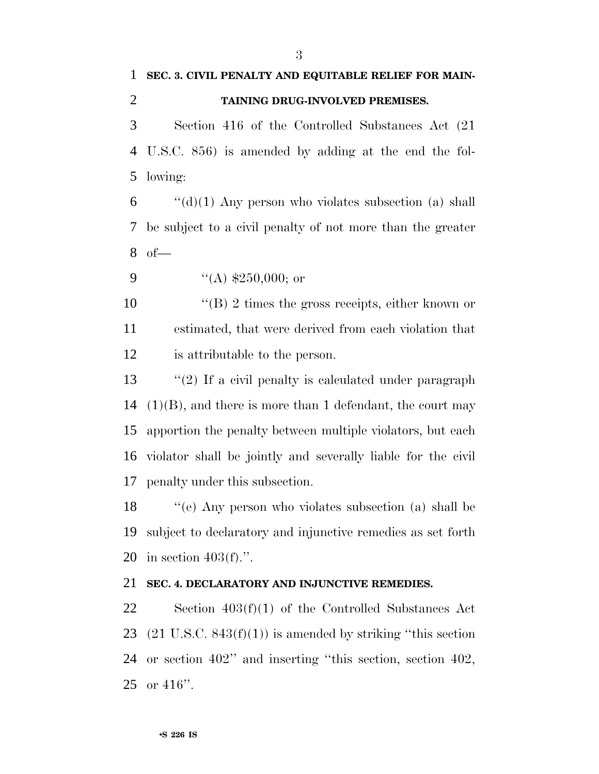# **SEC. 3. CIVIL PENALTY AND EQUITABLE RELIEF FOR MAIN-TAINING DRUG-INVOLVED PREMISES.**

 Section 416 of the Controlled Substances Act (21 U.S.C. 856) is amended by adding at the end the fol-lowing:

 "(d)(1) Any person who violates subsection (a) shall be subject to a civil penalty of not more than the greater of—

9  $((A) \; \$250,000; \text{ or})$ 

10 ''(B) 2 times the gross receipts, either known or estimated, that were derived from each violation that is attributable to the person.

 ''(2) If a civil penalty is calculated under paragraph (1)(B), and there is more than 1 defendant, the court may apportion the penalty between multiple violators, but each violator shall be jointly and severally liable for the civil penalty under this subsection.

 ''(e) Any person who violates subsection (a) shall be subject to declaratory and injunctive remedies as set forth in section 403(f).''.

#### **SEC. 4. DECLARATORY AND INJUNCTIVE REMEDIES.**

 Section 403(f)(1) of the Controlled Substances Act 23 (21 U.S.C.  $843(f)(1)$ ) is amended by striking "this section or section 402'' and inserting ''this section, section 402, or 416''.